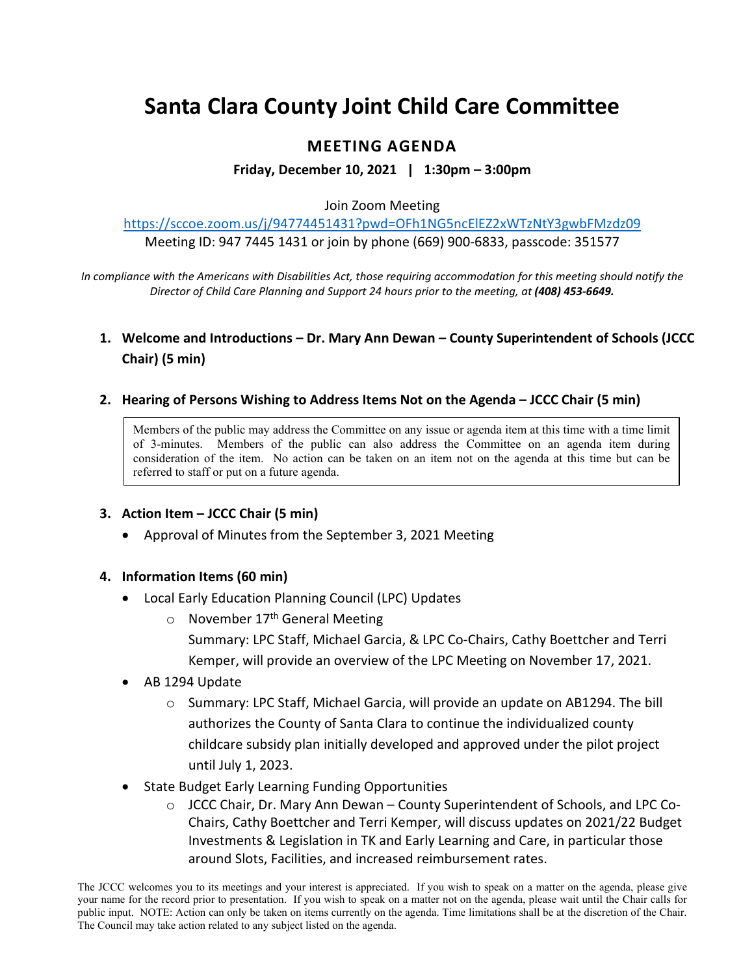# **Santa Clara County Joint Child Care Committee**

## **MEETING AGENDA**

**Friday, December 10, 2021 | 1:30pm – 3:00pm**

#### Join Zoom Meeting

<https://sccoe.zoom.us/j/94774451431?pwd=OFh1NG5ncElEZ2xWTzNtY3gwbFMzdz09> Meeting ID: 947 7445 1431 or join by phone (669) 900-6833, passcode: 351577

*In compliance with the Americans with Disabilities Act, those requiring accommodation for this meeting should notify the Director of Child Care Planning and Support 24 hours prior to the meeting, at (408) 453-6649.*

## **1. Welcome and Introductions – Dr. Mary Ann Dewan – County Superintendent of Schools (JCCC Chair) (5 min)**

#### **2. Hearing of Persons Wishing to Address Items Not on the Agenda – JCCC Chair (5 min)**

Members of the public may address the Committee on any issue or agenda item at this time with a time limit of 3-minutes. Members of the public can also address the Committee on an agenda item during consideration of the item. No action can be taken on an item not on the agenda at this time but can be referred to staff or put on a future agenda.

### **3. Action Item – JCCC Chair (5 min)**

• Approval of Minutes from the September 3, 2021 Meeting

#### **4. Information Items (60 min)**

- Local Early Education Planning Council (LPC) Updates
	- $\circ$  November 17<sup>th</sup> General Meeting Summary: LPC Staff, Michael Garcia, & LPC Co-Chairs, Cathy Boettcher and Terri Kemper, will provide an overview of the LPC Meeting on November 17, 2021.
- AB 1294 Update
	- o Summary: LPC Staff, Michael Garcia, will provide an update on AB1294. The bill authorizes the County of Santa Clara to continue the individualized county childcare subsidy plan initially developed and approved under the pilot project until July 1, 2023.
- State Budget Early Learning Funding Opportunities
	- o JCCC Chair, Dr. Mary Ann Dewan County Superintendent of Schools, and LPC Co-Chairs, Cathy Boettcher and Terri Kemper, will discuss updates on 2021/22 Budget Investments & Legislation in TK and Early Learning and Care, in particular those around Slots, Facilities, and increased reimbursement rates.